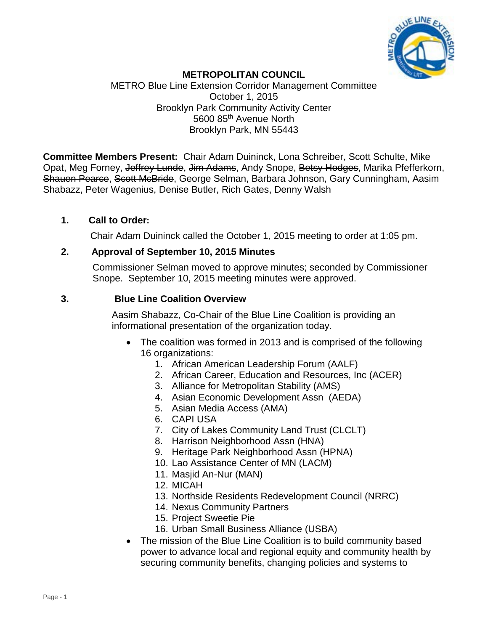

## **METROPOLITAN COUNCIL**

METRO Blue Line Extension Corridor Management Committee October 1, 2015 Brooklyn Park Community Activity Center 5600 85th Avenue North Brooklyn Park, MN 55443

**Committee Members Present:** Chair Adam Duininck, Lona Schreiber, Scott Schulte, Mike Opat, Meg Forney, Jeffrey Lunde, Jim Adams, Andy Snope, Betsy Hodges, Marika Pfefferkorn, Shauen Pearce, Scott McBride, George Selman, Barbara Johnson, Gary Cunningham, Aasim Shabazz, Peter Wagenius, Denise Butler, Rich Gates, Denny Walsh

### **1. Call to Order:**

Chair Adam Duininck called the October 1, 2015 meeting to order at 1:05 pm.

### **2. Approval of September 10, 2015 Minutes**

Commissioner Selman moved to approve minutes; seconded by Commissioner Snope. September 10, 2015 meeting minutes were approved.

### **3. Blue Line Coalition Overview**

Aasim Shabazz, Co-Chair of the Blue Line Coalition is providing an informational presentation of the organization today.

- The coalition was formed in 2013 and is comprised of the following 16 organizations:
	- 1. African American Leadership Forum (AALF)
	- 2. African Career, Education and Resources, Inc (ACER)
	- 3. Alliance for Metropolitan Stability (AMS)
	- 4. Asian Economic Development Assn (AEDA)
	- 5. Asian Media Access (AMA)
	- 6. CAPI USA
	- 7. City of Lakes Community Land Trust (CLCLT)
	- 8. Harrison Neighborhood Assn (HNA)
	- 9. Heritage Park Neighborhood Assn (HPNA)
	- 10. Lao Assistance Center of MN (LACM)
	- 11. Masjid An-Nur (MAN)
	- 12. MICAH
	- 13. Northside Residents Redevelopment Council (NRRC)
	- 14. Nexus Community Partners
	- 15. Project Sweetie Pie
	- 16. Urban Small Business Alliance (USBA)
- The mission of the Blue Line Coalition is to build community based power to advance local and regional equity and community health by securing community benefits, changing policies and systems to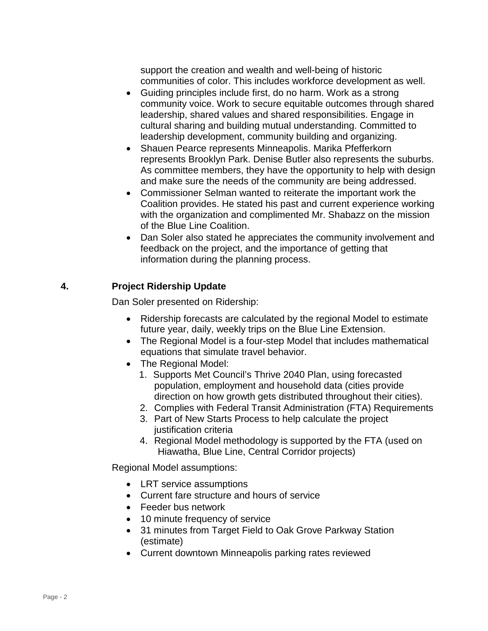support the creation and wealth and well-being of historic communities of color. This includes workforce development as well.

- Guiding principles include first, do no harm. Work as a strong community voice. Work to secure equitable outcomes through shared leadership, shared values and shared responsibilities. Engage in cultural sharing and building mutual understanding. Committed to leadership development, community building and organizing.
- Shauen Pearce represents Minneapolis. Marika Pfefferkorn represents Brooklyn Park. Denise Butler also represents the suburbs. As committee members, they have the opportunity to help with design and make sure the needs of the community are being addressed.
- Commissioner Selman wanted to reiterate the important work the Coalition provides. He stated his past and current experience working with the organization and complimented Mr. Shabazz on the mission of the Blue Line Coalition.
- Dan Soler also stated he appreciates the community involvement and feedback on the project, and the importance of getting that information during the planning process.

# **4. Project Ridership Update**

Dan Soler presented on Ridership:

- Ridership forecasts are calculated by the regional Model to estimate future year, daily, weekly trips on the Blue Line Extension.
- The Regional Model is a four-step Model that includes mathematical equations that simulate travel behavior.
- The Regional Model:
	- 1. Supports Met Council's Thrive 2040 Plan, using forecasted population, employment and household data (cities provide direction on how growth gets distributed throughout their cities).
	- 2. Complies with Federal Transit Administration (FTA) Requirements
	- 3. Part of New Starts Process to help calculate the project justification criteria
	- 4. Regional Model methodology is supported by the FTA (used on Hiawatha, Blue Line, Central Corridor projects)

Regional Model assumptions:

- LRT service assumptions
- Current fare structure and hours of service
- Feeder bus network
- 10 minute frequency of service
- 31 minutes from Target Field to Oak Grove Parkway Station (estimate)
- Current downtown Minneapolis parking rates reviewed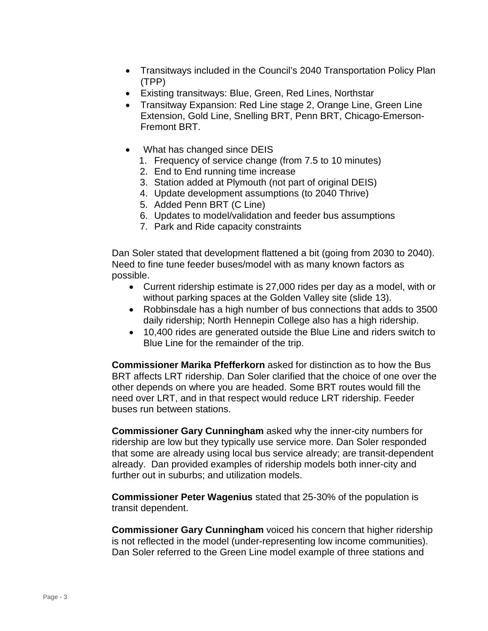- Transitways included in the Council's 2040 Transportation Policy Plan (TPP)
- Existing transitways: Blue, Green, Red Lines, Northstar
- Transitway Expansion: Red Line stage 2, Orange Line, Green Line Extension, Gold Line, Snelling BRT, Penn BRT, Chicago-Emerson-Fremont BRT.
- What has changed since DEIS
	- 1. Frequency of service change (from 7.5 to 10 minutes)
	- 2. End to End running time increase
	- 3. Station added at Plymouth (not part of original DEIS)
	- 4. Update development assumptions (to 2040 Thrive)
	- 5. Added Penn BRT (C Line)
	- 6. Updates to model/validation and feeder bus assumptions
	- 7. Park and Ride capacity constraints

Dan Soler stated that development flattened a bit (going from 2030 to 2040). Need to fine tune feeder buses/model with as many known factors as possible.

- Current ridership estimate is 27,000 rides per day as a model, with or without parking spaces at the Golden Valley site (slide 13).
- Robbinsdale has a high number of bus connections that adds to 3500 daily ridership; North Hennepin College also has a high ridership.
- 10,400 rides are generated outside the Blue Line and riders switch to Blue Line for the remainder of the trip.

**Commissioner Marika Pfefferkorn** asked for distinction as to how the Bus BRT affects LRT ridership. Dan Soler clarified that the choice of one over the other depends on where you are headed. Some BRT routes would fill the need over LRT, and in that respect would reduce LRT ridership. Feeder buses run between stations.

**Commissioner Gary Cunningham** asked why the inner-city numbers for ridership are low but they typically use service more. Dan Soler responded that some are already using local bus service already; are transit-dependent already. Dan provided examples of ridership models both inner-city and further out in suburbs; and utilization models.

**Commissioner Peter Wagenius** stated that 25-30% of the population is transit dependent.

**Commissioner Gary Cunningham** voiced his concern that higher ridership is not reflected in the model (under-representing low income communities). Dan Soler referred to the Green Line model example of three stations and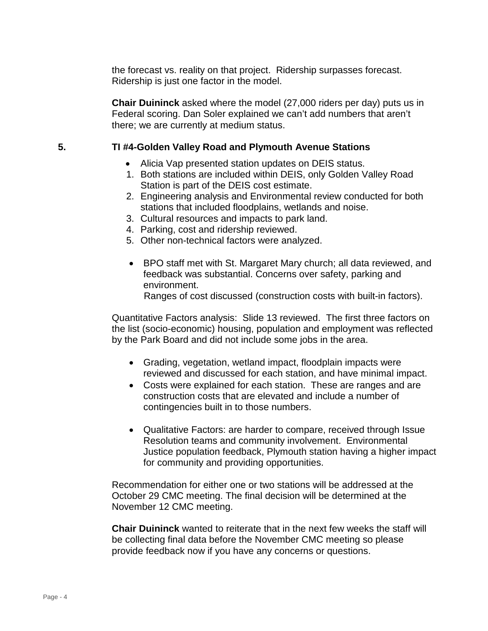the forecast vs. reality on that project. Ridership surpasses forecast. Ridership is just one factor in the model.

**Chair Duininck** asked where the model (27,000 riders per day) puts us in Federal scoring. Dan Soler explained we can't add numbers that aren't there; we are currently at medium status.

#### **5. TI #4-Golden Valley Road and Plymouth Avenue Stations**

- Alicia Vap presented station updates on DEIS status.
- 1. Both stations are included within DEIS, only Golden Valley Road Station is part of the DEIS cost estimate.
- 2. Engineering analysis and Environmental review conducted for both stations that included floodplains, wetlands and noise.
- 3. Cultural resources and impacts to park land.
- 4. Parking, cost and ridership reviewed.
- 5. Other non-technical factors were analyzed.
- BPO staff met with St. Margaret Mary church; all data reviewed, and feedback was substantial. Concerns over safety, parking and environment.

Ranges of cost discussed (construction costs with built-in factors).

Quantitative Factors analysis: Slide 13 reviewed. The first three factors on the list (socio-economic) housing, population and employment was reflected by the Park Board and did not include some jobs in the area.

- Grading, vegetation, wetland impact, floodplain impacts were reviewed and discussed for each station, and have minimal impact.
- Costs were explained for each station. These are ranges and are construction costs that are elevated and include a number of contingencies built in to those numbers.
- Qualitative Factors: are harder to compare, received through Issue Resolution teams and community involvement. Environmental Justice population feedback, Plymouth station having a higher impact for community and providing opportunities.

Recommendation for either one or two stations will be addressed at the October 29 CMC meeting. The final decision will be determined at the November 12 CMC meeting.

**Chair Duininck** wanted to reiterate that in the next few weeks the staff will be collecting final data before the November CMC meeting so please provide feedback now if you have any concerns or questions.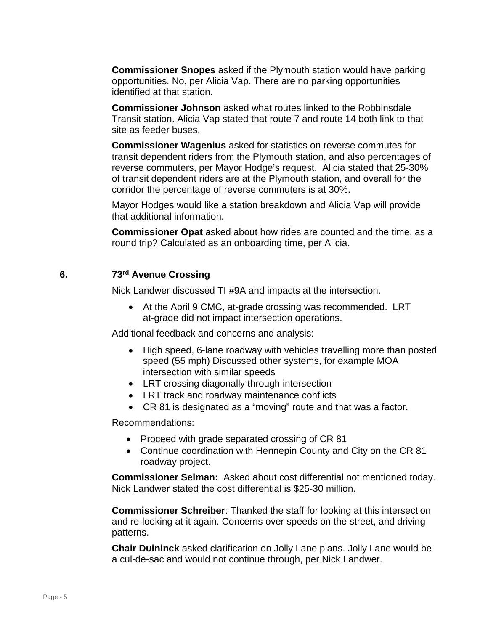**Commissioner Snopes** asked if the Plymouth station would have parking opportunities. No, per Alicia Vap. There are no parking opportunities identified at that station.

**Commissioner Johnson** asked what routes linked to the Robbinsdale Transit station. Alicia Vap stated that route 7 and route 14 both link to that site as feeder buses.

**Commissioner Wagenius** asked for statistics on reverse commutes for transit dependent riders from the Plymouth station, and also percentages of reverse commuters, per Mayor Hodge's request. Alicia stated that 25-30% of transit dependent riders are at the Plymouth station, and overall for the corridor the percentage of reverse commuters is at 30%.

Mayor Hodges would like a station breakdown and Alicia Vap will provide that additional information.

**Commissioner Opat** asked about how rides are counted and the time, as a round trip? Calculated as an onboarding time, per Alicia.

#### **6. 73rd Avenue Crossing**

Nick Landwer discussed TI #9A and impacts at the intersection.

• At the April 9 CMC, at-grade crossing was recommended. LRT at-grade did not impact intersection operations.

Additional feedback and concerns and analysis:

- High speed, 6-lane roadway with vehicles travelling more than posted speed (55 mph) Discussed other systems, for example MOA intersection with similar speeds
- LRT crossing diagonally through intersection
- LRT track and roadway maintenance conflicts
- CR 81 is designated as a "moving" route and that was a factor.

Recommendations:

- Proceed with grade separated crossing of CR 81
- Continue coordination with Hennepin County and City on the CR 81 roadway project.

**Commissioner Selman:** Asked about cost differential not mentioned today. Nick Landwer stated the cost differential is \$25-30 million.

**Commissioner Schreiber**: Thanked the staff for looking at this intersection and re-looking at it again. Concerns over speeds on the street, and driving patterns.

**Chair Duininck** asked clarification on Jolly Lane plans. Jolly Lane would be a cul-de-sac and would not continue through, per Nick Landwer.